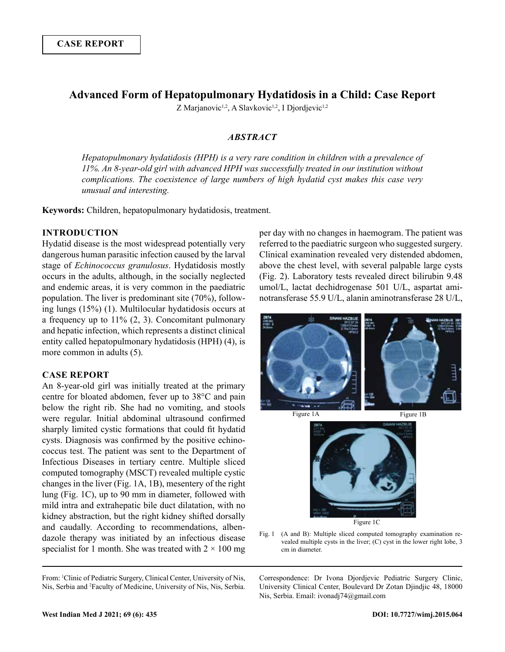# **Advanced Form of Hepatopulmonary Hydatidosis in a Child: Case Report**

Z Marjanovic<sup>1,2</sup>, A Slavkovic<sup>1,2</sup>, I Djordjevic<sup>1,2</sup>

## *ABSTRACT*

*Hepatopulmonary hydatidosis (HPH) is a very rare condition in children with a prevalence of 11%. An 8-year-old girl with advanced HPH was successfully treated in our institution without complications. The coexistence of large numbers of high hydatid cyst makes this case very unusual and interesting.* 

**Keywords:** Children, hepatopulmonary hydatidosis, treatment.

# **INTRODUCTION**

Hydatid disease is the most widespread potentially very dangerous human parasitic infection caused by the larval stage of *Echinococcus granulosus*. Hydatidosis mostly occurs in the adults, although, in the socially neglected and endemic areas, it is very common in the paediatric population. The liver is predominant site (70%), following lungs (15%) (1). Multilocular hydatidosis occurs at a frequency up to 11% (2, 3). Concomitant pulmonary and hepatic infection, which represents a distinct clinical entity called hepatopulmonary hydatidosis (HPH) (4), is more common in adults (5).

## **CASE REPORT**

An 8-year-old girl was initially treated at the primary centre for bloated abdomen, fever up to 38°C and pain below the right rib. She had no vomiting, and stools were regular. Initial abdominal ultrasound confirmed sharply limited cystic formations that could fit hydatid cysts. Diagnosis was confirmed by the positive echinococcus test. The patient was sent to the Department of Infectious Diseases in tertiary centre. Multiple sliced computed tomography (MSCT) revealed multiple cystic changes in the liver (Fig. 1A, 1B), mesentery of the right lung (Fig. 1C), up to 90 mm in diameter, followed with mild intra and extrahepatic bile duct dilatation, with no kidney abstraction, but the right kidney shifted dorsally and caudally. According to recommendations, albendazole therapy was initiated by an infectious disease specialist for 1 month. She was treated with  $2 \times 100$  mg

From: 1 Clinic of Pediatric Surgery, Clinical Center, University of Nis, Nis, Serbia and 2 Faculty of Medicine, University of Nis, Nis, Serbia. per day with no changes in haemogram. The patient was referred to the paediatric surgeon who suggested surgery. Clinical examination revealed very distended abdomen, above the chest level, with several palpable large cysts (Fig. 2). Laboratory tests revealed direct bilirubin 9.48 umol/L, lactat dechidrogenase 501 U/L, aspartat aminotransferase 55.9 U/L, alanin aminotransferase 28 U/L,



Fig. 1 (A and B): Multiple sliced computed tomography examination revealed multiple cysts in the liver; (C) cyst in the lower right lobe, 3 cm in diameter.

Correspondence: Dr Ivona Djordjevic Pediatric Surgery Clinic, University Clinical Center, Boulevard Dr Zotan Djindjic 48, 18000 Nis, Serbia. Email: ivonadj74@gmail.com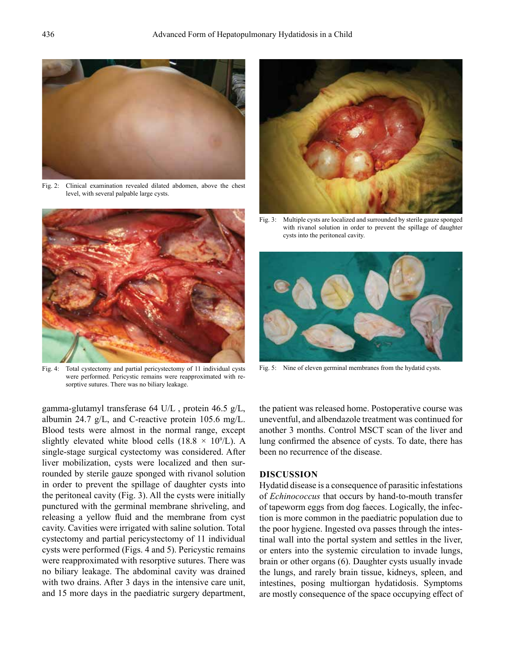

Fig. 2: Clinical examination revealed dilated abdomen, above the chest level, with several palpable large cysts.



Fig. 4: Total cystectomy and partial pericystectomy of 11 individual cysts were performed. Pericystic remains were reapproximated with resorptive sutures. There was no biliary leakage.

gamma-glutamyl transferase 64 U/L , protein 46.5 g/L, albumin 24.7  $g/L$ , and C-reactive protein 105.6 mg/L. Blood tests were almost in the normal range, except slightly elevated white blood cells  $(18.8 \times 10^9$ /L). A single-stage surgical cystectomy was considered. After liver mobilization, cysts were localized and then surrounded by sterile gauze sponged with rivanol solution in order to prevent the spillage of daughter cysts into the peritoneal cavity (Fig. 3). All the cysts were initially punctured with the germinal membrane shriveling, and releasing a yellow fluid and the membrane from cyst cavity. Cavities were irrigated with saline solution. Total cystectomy and partial pericystectomy of 11 individual cysts were performed (Figs. 4 and 5). Pericystic remains were reapproximated with resorptive sutures. There was no biliary leakage. The abdominal cavity was drained with two drains. After 3 days in the intensive care unit, and 15 more days in the paediatric surgery department,



Fig. 3: Multiple cysts are localized and surrounded by sterile gauze sponged with rivanol solution in order to prevent the spillage of daughter cysts into the peritoneal cavity.



Fig. 5: Nine of eleven germinal membranes from the hydatid cysts.

the patient was released home. Postoperative course was uneventful, and albendazole treatment was continued for another 3 months. Control MSCT scan of the liver and lung confirmed the absence of cysts. To date, there has been no recurrence of the disease.

## **DISCUSSION**

Hydatid disease is a consequence of parasitic infestations of *Echinococcus* that occurs by hand-to-mouth transfer of tapeworm eggs from dog faeces. Logically, the infection is more common in the paediatric population due to the poor hygiene. Ingested ova passes through the intestinal wall into the portal system and settles in the liver, or enters into the systemic circulation to invade lungs, brain or other organs (6). Daughter cysts usually invade the lungs, and rarely brain tissue, kidneys, spleen, and intestines, posing multiorgan hydatidosis. Symptoms are mostly consequence of the space occupying effect of